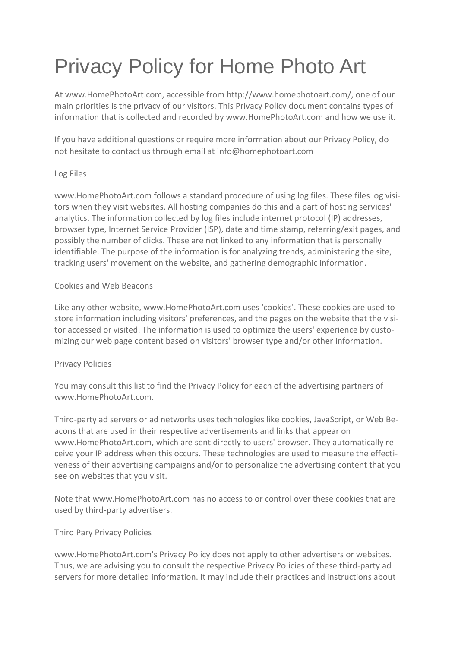# Privacy Policy for Home Photo Art

At www.HomePhotoArt.com, accessible from http://www.homephotoart.com/, one of our main priorities is the privacy of our visitors. This Privacy Policy document contains types of information that is collected and recorded by www.HomePhotoArt.com and how we use it.

If you have additional questions or require more information about our Privacy Policy, do not hesitate to contact us through email at info@homephotoart.com

## Log Files

www.HomePhotoArt.com follows a standard procedure of using log files. These files log visitors when they visit websites. All hosting companies do this and a part of hosting services' analytics. The information collected by log files include internet protocol (IP) addresses, browser type, Internet Service Provider (ISP), date and time stamp, referring/exit pages, and possibly the number of clicks. These are not linked to any information that is personally identifiable. The purpose of the information is for analyzing trends, administering the site, tracking users' movement on the website, and gathering demographic information.

### Cookies and Web Beacons

Like any other website, www.HomePhotoArt.com uses 'cookies'. These cookies are used to store information including visitors' preferences, and the pages on the website that the visitor accessed or visited. The information is used to optimize the users' experience by customizing our web page content based on visitors' browser type and/or other information.

#### Privacy Policies

You may consult this list to find the Privacy Policy for each of the advertising partners of www.HomePhotoArt.com.

Third-party ad servers or ad networks uses technologies like cookies, JavaScript, or Web Beacons that are used in their respective advertisements and links that appear on www.HomePhotoArt.com, which are sent directly to users' browser. They automatically receive your IP address when this occurs. These technologies are used to measure the effectiveness of their advertising campaigns and/or to personalize the advertising content that you see on websites that you visit.

Note that www.HomePhotoArt.com has no access to or control over these cookies that are used by third-party advertisers.

## Third Pary Privacy Policies

www.HomePhotoArt.com's Privacy Policy does not apply to other advertisers or websites. Thus, we are advising you to consult the respective Privacy Policies of these third-party ad servers for more detailed information. It may include their practices and instructions about